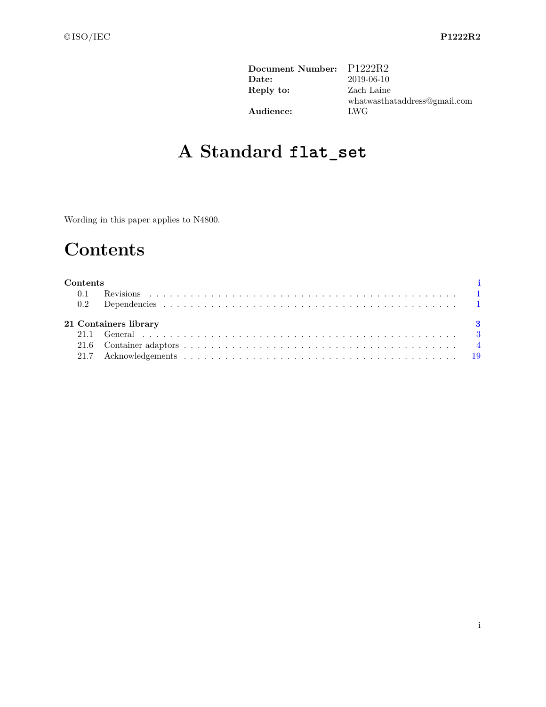| Document Number: | P1222R2                      |
|------------------|------------------------------|
| Date:            | 2019-06-10                   |
| Reply to:        | Zach Laine                   |
|                  | whatwasthataddress@gmail.com |
| Audience:        | <b>LWG</b>                   |

# **A Standard flat\_set**

Wording in this paper applies to N4800.

# **Contents**

<span id="page-0-0"></span>

| Contents |                       |  |
|----------|-----------------------|--|
| 0.1      |                       |  |
|          |                       |  |
|          | 21 Containers library |  |
|          |                       |  |
|          |                       |  |
|          |                       |  |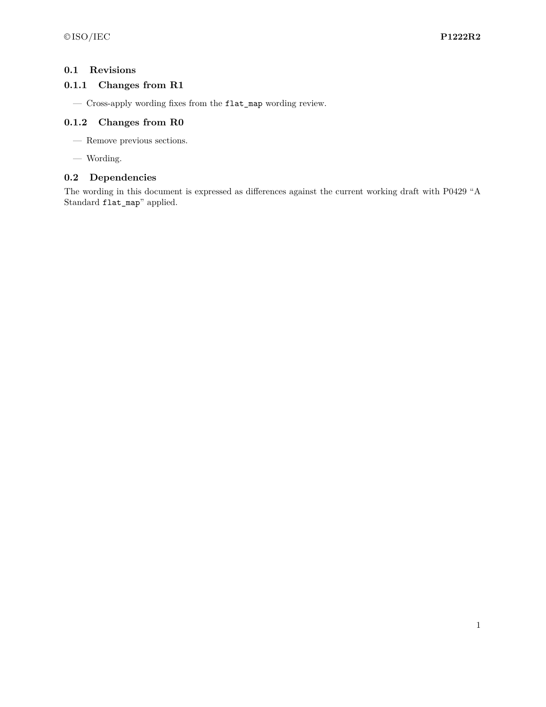# <span id="page-1-0"></span>**0.1 Revisions**

# **0.1.1 Changes from R1**

— Cross-apply wording fixes from the flat\_map wording review.

# **0.1.2 Changes from R0**

- Remove previous sections.
- Wording.

## <span id="page-1-1"></span>**0.2 Dependencies**

The wording in this document is expressed as differences against the current working draft with P0429 "A Standard flat\_map" applied.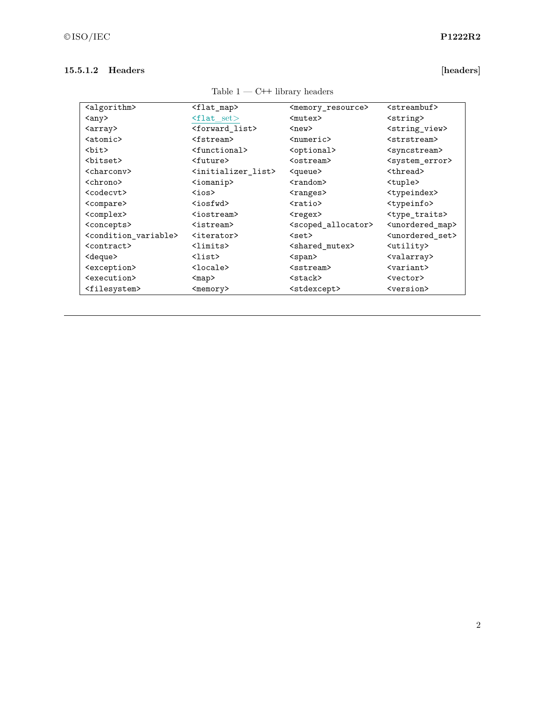# **15.5.1.2 Headers [headers]**

| <algorithm></algorithm>                   | <flat_map></flat_map>               | <memory_resource></memory_resource>   | $<$ streambuf>                   |
|-------------------------------------------|-------------------------------------|---------------------------------------|----------------------------------|
| <any></any>                               | $\text{1at}$ set $>$                | $mutex$                               | <string></string>                |
| <array></array>                           | <forward list=""></forward>         | $new$                                 | <string_view></string_view>      |
| $<$ atomic $>$                            | <fstream></fstream>                 | <numeric></numeric>                   | <strstream></strstream>          |
| <bit></bit>                               | <functional></functional>           | <optional></optional>                 | <syncstream></syncstream>        |
| <bitset></bitset>                         | <future></future>                   | <ostream></ostream>                   | <system_error></system_error>    |
| <charcony></charcony>                     | <initializer list=""></initializer> | <queue></queue>                       | <thread></thread>                |
| <chrono></chrono>                         | $\langle$ iomanip $\rangle$         | $<$ random $>$                        | <tuple></tuple>                  |
| <codecvt></codecvt>                       | $\zeta$ ios $>$                     | <ranges></ranges>                     | <typeindex></typeindex>          |
| <compare></compare>                       | $iosfwd$                            | $ratio$                               | <typeinfo></typeinfo>            |
| <complex></complex>                       | <iostream></iostream>               | <regex></regex>                       | <type_traits></type_traits>      |
| <concepts></concepts>                     | <istream></istream>                 | <scoped_allocator></scoped_allocator> | <unordered_map></unordered_map>  |
| <condition_variable></condition_variable> | <iterator></iterator>               | $set$                                 | <unordered set=""></unordered>   |
| <contract></contract>                     | <limits></limits>                   | <shared mutex=""></shared>            | <utility></utility>              |
| <deque></deque>                           | <list></list>                       | $<$ span $>$                          | <valarray></valarray>            |
| <exception></exception>                   | $locale$                            | <sstream></sstream>                   | $\langle \text{variant} \rangle$ |
| <execution></execution>                   | <map></map>                         | <stack></stack>                       | <vector></vector>                |
| <filesystem></filesystem>                 | $memory$                            | <stdexcept></stdexcept>               | <version></version>              |

Table 1 — C++ library headers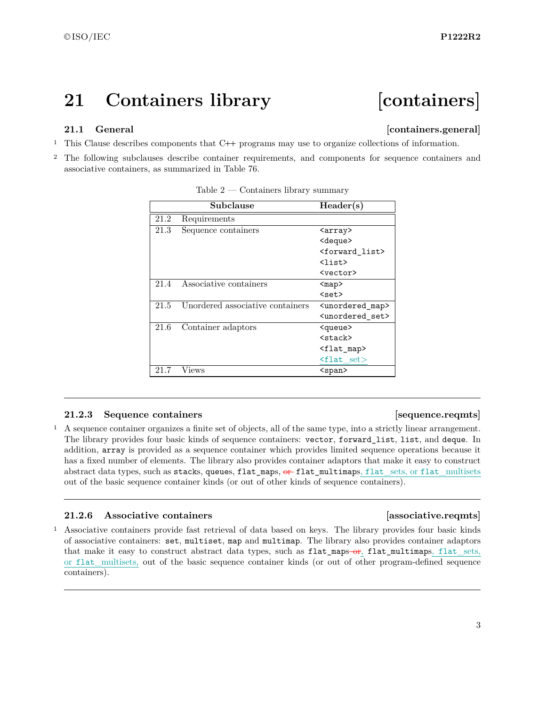# <span id="page-3-0"></span>**21 Containers library [containers]**

# <span id="page-3-1"></span>**21.1 General Containers.general**

- <sup>1</sup> This Clause describes components that C**++** programs may use to organize collections of information.
- <sup>2</sup> The following subclauses describe container requirements, and components for sequence containers and associative containers, as summarized in Table 76.

|      | Subclause                        | Header(s)                      |
|------|----------------------------------|--------------------------------|
| 21.2 | Requirements                     |                                |
| 21.3 | Sequence containers              | <array></array>                |
|      |                                  | <deque></deque>                |
|      |                                  | <forward_list></forward_list>  |
|      |                                  | $\langle$ list $\rangle$       |
|      |                                  | <vector></vector>              |
| 21.4 | Associative containers           | $map$                          |
|      |                                  | $<$ set $>$                    |
| 21.5 | Unordered associative containers | <unordered map=""></unordered> |
|      |                                  | <unordered set=""></unordered> |
| 21.6 | Container adaptors               | <queue></queue>                |
|      |                                  | $\langle$ stack $\rangle$      |
|      |                                  | <flat map=""></flat>           |
|      |                                  | $f$ lat set $>$                |
| 21.7 | Views                            | $<$ span $>$                   |

Table  $2$  — Containers library summary

### **21.2.3** Sequence containers **and intervals [Sequence.reqmts]**

<sup>1</sup> A sequence container organizes a finite set of objects, all of the same type, into a strictly linear arrangement. The library provides four basic kinds of sequence containers: vector, forward\_list, list, and deque. In addition, array is provided as a sequence container which provides limited sequence operations because it has a fixed number of elements. The library also provides container adaptors that make it easy to construct abstract data types, such as stacks, queues, flat\_maps, or flat\_multimaps, flat\_sets, or flat\_multisets out of the basic sequence container kinds (or out of other kinds of sequence containers).

# **21.2.6 Associative containers [associative.reqmts]**

<sup>1</sup> Associative containers provide fast retrieval of data based on keys. The library provides four basic kinds of associative containers: set, multiset, map and multimap. The library also provides container adaptors that make it easy to construct abstract data types, such as flat\_maps-or, flat\_multimaps, flat\_sets, or flat\_multisets, out of the basic sequence container kinds (or out of other program-defined sequence containers).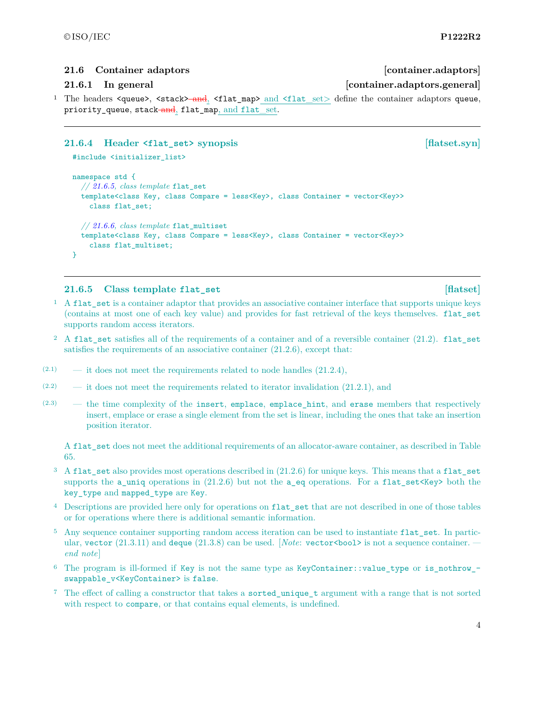### <span id="page-4-0"></span>**21.6 Container adaptors [container.adaptors]**

### **21.6.1 In general [container.adaptors.general]**

<sup>1</sup> The headers <queue>, <stack><del>and</del>, <flat\_map> and <flat\_set> define the container adaptors queue, priority\_queue, stack-and, flat\_map, and flat\_set.

### **21.6.4 Header <flat\_set> synopsis [flatset.syn]**

```
#include <initializer_list>
```

```
namespace std {
  // 21.6.5, class template flat_set
  template<class Key, class Compare = less<Key>, class Container = vector<Key>>
    class flat_set;
  // 21.6.6, class template flat_multiset
  template<class Key, class Compare = less<Key>, class Container = vector<Key>>
    class flat_multiset;
}
```
### <span id="page-4-1"></span>**21.6.5 Class template flat\_set [flatset]**

- <sup>1</sup> A flat\_set is a container adaptor that provides an associative container interface that supports unique keys (contains at most one of each key value) and provides for fast retrieval of the keys themselves. flat\_set supports random access iterators.
- <sup>2</sup> A flat set satisfies all of the requirements of a container and of a reversible container  $(21.2)$ . flat set satisfies the requirements of an associative container (21.2.6), except that:
- $(2.1)$  it does not meet the requirements related to node handles  $(21.2.4)$ ,
- $(2.2)$  it does not meet the requirements related to iterator invalidation  $(21.2.1)$ , and
- $(2.3)$  the time complexity of the insert, emplace, emplace hint, and erase members that respectively insert, emplace or erase a single element from the set is linear, including the ones that take an insertion position iterator.

A flat set does not meet the additional requirements of an allocator-aware container, as described in Table 65.

- <sup>3</sup> A flat\_set also provides most operations described in (21.2.6) for unique keys. This means that a flat\_set supports the a\_uniq operations in  $(21.2.6)$  but not the a\_eq operations. For a flat\_set <Key> both the key type and mapped type are Key.
- <sup>4</sup> Descriptions are provided here only for operations on flat\_set that are not described in one of those tables or for operations where there is additional semantic information.
- <sup>5</sup> Any sequence container supporting random access iteration can be used to instantiate flat set. In particular, vector  $(21.3.11)$  and deque  $(21.3.8)$  can be used. [*Note*: vector <br/>bool> is not a sequence container. *end note*]
- <sup>6</sup> The program is ill-formed if Key is not the same type as KeyContainer::value\_type or is\_nothrow\_ swappable\_v<KeyContainer> is false.
- <sup>7</sup> The effect of calling a constructor that takes a sorted\_unique\_t argument with a range that is not sorted with respect to compare, or that contains equal elements, is undefined.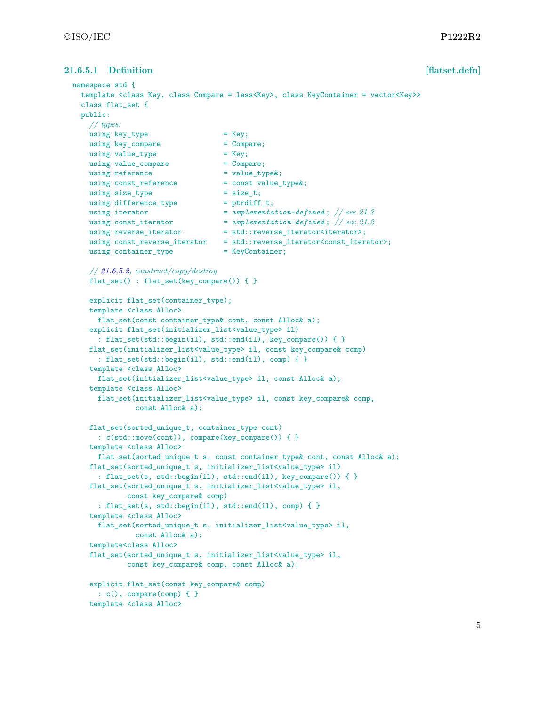# **21.6.5.1 Definition [flatset.defn]**

```
namespace std {
 template <class Key, class Compare = less<Key>, class KeyContainer = vector<Key>>
 class flat_set {
 public:
   // types:
   using key_type = Key;using key_compare = Compare;
   using value_type = Key;
   using value_compare
   using reference = value_type\;
   using const_reference = const value_type &;
   using size_type = size_t;
   using difference_type
   using iterator = implementation-defined; // see 21.2
    using const_iterator = implementation-defined ; // see 21.2
    using reverse_iterator = std::reverse\_iterator\times;using const_reverse_iterator = std::reverse_iterator<const_iterator>;
   using container_type = KeyContainer;
   // 21.6.5.2, construct/copy/destroy
   flat_set() : flat_set(key_compare()) { }
   explicit flat_set(container_type);
   template <class Alloc>
     flat_set(const container_type& cont, const Alloc& a);
   explicit flat_set(initializer_list<value_type> il)
     : flat_set(std::begin(il), std::end(il), key_compare()) { }
   flat_set(initializer_list<value_type> il, const key_compare& comp)
     : flat_set(std::begin(il), std::end(il), comp) { }
   template <class Alloc>
     flat_set(initializer_list<value_type> il, const Alloc& a);
   template <class Alloc>
     flat_set(initializer_list<value_type> il, const key_compare& comp,
              const Alloc& a);
   flat_set(sorted_unique_t, container_type cont)
     : c(std::move(cont)), compare(key_compare()) { }
   template <class Alloc>
     flat_set(sorted_unique_t s, const container_type& cont, const Alloc& a);
   flat_set(sorted_unique_t s, initializer_list<value_type> il)
     : flat_set(s, std::begin(il), std::end(il), key_compare()) { }
   flat_set(sorted_unique_t s, initializer_list<value_type> il,
            const key_compare& comp)
     : flat_set(s, std::begin(il), std::end(il), comp) { }
   template <class Alloc>
     flat_set(sorted_unique_t s, initializer_list<value_type> il,
             const Alloc& a);
   template<class Alloc>
   flat_set(sorted_unique_t s, initializer_list<value_type> il,
            const key_compare& comp, const Alloc& a);
   explicit flat_set(const key_compare& comp)
     : c(), compare(comp) { }
   template <class Alloc>
```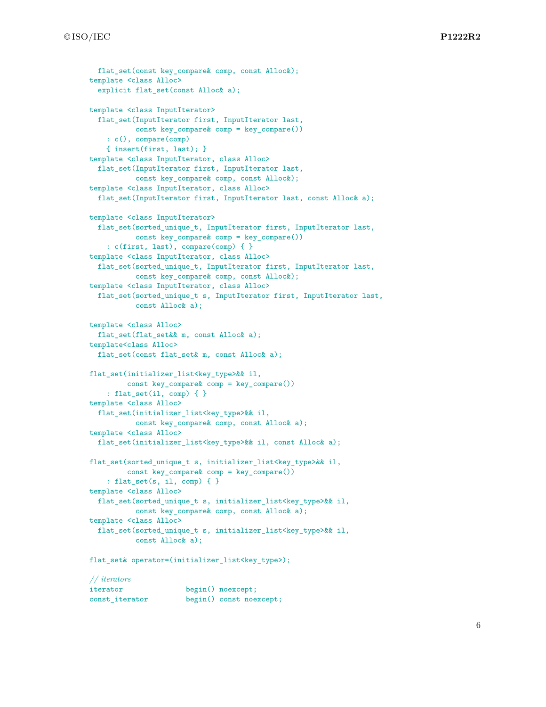```
flat set(const key compare& comp, const Alloc&);
template <class Alloc>
  explicit flat_set(const Alloc& a);
template <class InputIterator>
  flat_set(InputIterator first, InputIterator last,
           const key_compare& comp = key_compare())
    : c(), compare(comp)
    { insert(first, last); }
template <class InputIterator, class Alloc>
 flat_set(InputIterator first, InputIterator last,
           const key_compare& comp, const Alloc&);
template <class InputIterator, class Alloc>
 flat_set(InputIterator first, InputIterator last, const Alloc& a);
template <class InputIterator>
 flat_set(sorted_unique_t, InputIterator first, InputIterator last,
           const key_compare& comp = key_compare())
    : c(first, last), compare(comp) { }
template <class InputIterator, class Alloc>
 flat_set(sorted_unique_t, InputIterator first, InputIterator last,
           const key_compare& comp, const Alloc&);
template <class InputIterator, class Alloc>
 flat_set(sorted_unique_t s, InputIterator first, InputIterator last,
          const Alloc& a);
template <class Alloc>
  flat_set(flat_set&& m, const Alloc& a);
template<class Alloc>
 flat_set(const flat_set& m, const Alloc& a);
flat_set(initializer_list<key_type>&& il,
         const key_compare& comp = key_compare())
    : flat_set(il, comp) { }
template <class Alloc>
 flat_set(initializer_list<key_type>&& il,
           const key_compare& comp, const Alloc& a);
template <class Alloc>
 flat_set(initializer_list<key_type>&& il, const Alloc& a);
flat_set(sorted_unique_t s, initializer_list<key_type>&& il,
         const key_compare& comp = key_compare())
    : flat_set(s, il, comp) { }
template <class Alloc>
 flat_set(sorted_unique_t s, initializer_list<key_type>&& il,
           const key_compare& comp, const Alloc& a);
template <class Alloc>
 flat_set(sorted_unique_t s, initializer_list<key_type>&& il,
           const Alloc& a);
flat_set& operator=(initializer_list<key_type>);
// iterators
```
iterator begin() noexcept; const iterator begin() const noexcept;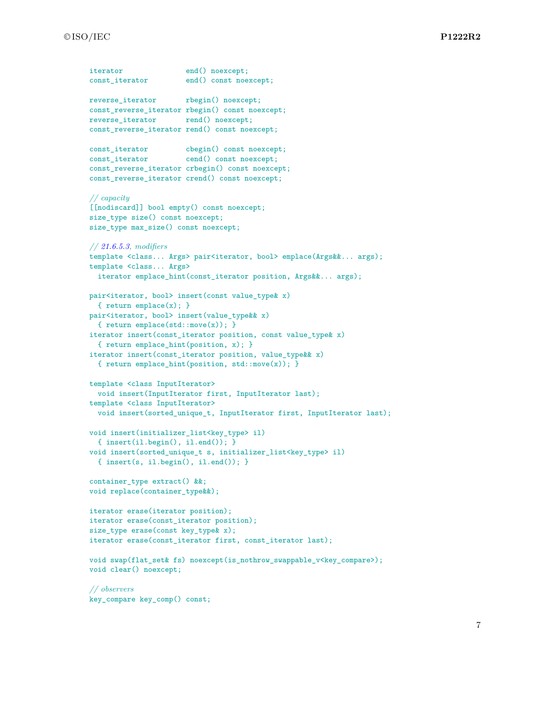```
iterator end() noexcept;
const_iterator end() const noexcept;
reverse_iterator rbegin() noexcept;
const_reverse_iterator rbegin() const noexcept;
reverse iterator rend() noexcept;
const_reverse_iterator rend() const noexcept;
const_iterator cbegin() const noexcept;
const_iterator cend() const noexcept;
const_reverse_iterator crbegin() const noexcept;
const_reverse_iterator crend() const noexcept;
// capacity
[[nodiscard]] bool empty() const noexcept;
size_type size() const noexcept;
size_type max_size() const noexcept;
// 21.6.5.3, modifiers
template <class... Args> pair<iterator, bool> emplace(Args&&... args);
template <class... Args>
  iterator emplace_hint(const_iterator position, Args&&... args);
pair<iterator, bool> insert(const value_type& x)
 { return emplace(x); }
pair<iterator, bool> insert(value_type&& x)
 { return emplace(std::move(x)); }
iterator insert(const_iterator position, const value_type& x)
  { return emplace_hint(position, x); }
iterator insert(const_iterator position, value_type&& x)
  { return emplace_hint(position, std::move(x)); }
template <class InputIterator>
  void insert(InputIterator first, InputIterator last);
template <class InputIterator>
  void insert(sorted_unique_t, InputIterator first, InputIterator last);
void insert(initializer_list<key_type> il)
  { insert(il.begin(), il.end()); }
void insert(sorted_unique_t s, initializer_list<key_type> il)
  { insert(s, il.begin(), il.end()); }
container_type extract() &&;
void replace(container_type&&);
iterator erase(iterator position);
iterator erase(const_iterator position);
size_type erase(const key_type& x);
iterator erase(const_iterator first, const_iterator last);
void swap(flat_set& fs) noexcept(is_nothrow_swappable_v<key_compare>);
void clear() noexcept;
// observers
key_compare key_comp() const;
```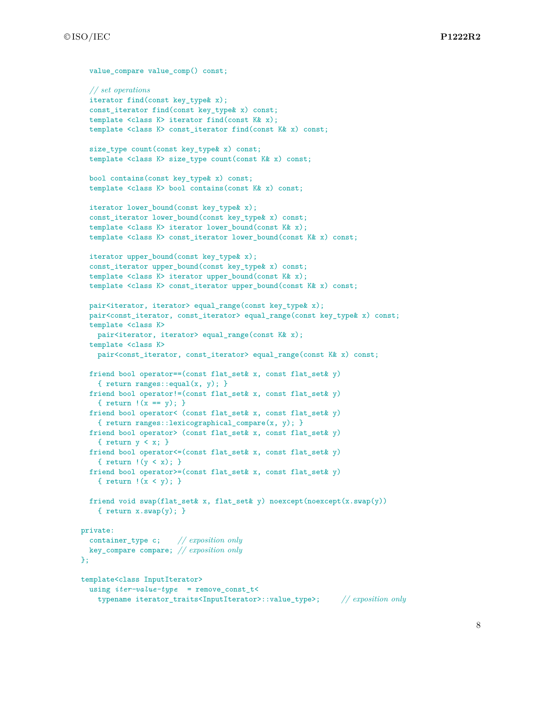```
value compare value comp() const;
  // set operations
  iterator find(const key_type& x);
  const_iterator find(const key_type& x) const;
  template <class K> iterator find(const K& x);
  template <class K> const_iterator find(const K& x) const;
  size_type count(const key_type& x) const;
  template <class K> size_type count(const K& x) const;
  bool contains(const key_type& x) const;
  template <class K> bool contains(const K& x) const;
  iterator lower_bound(const key_type& x);
  const_iterator lower_bound(const key_type& x) const;
  template <class K> iterator lower_bound(const K& x);
  template <class K> const_iterator lower_bound(const K& x) const;
  iterator upper_bound(const key_type& x);
  const_iterator upper_bound(const key_type& x) const;
  template <class K> iterator upper_bound(const K& x);
  template <class K> const_iterator upper_bound(const K& x) const;
  pair<iterator, iterator> equal_range(const key_type& x);
  pair<const_iterator, const_iterator> equal_range(const key_type& x) const;
  template <class K>
   pair<iterator, iterator> equal_range(const K& x);
  template <class K>
    pair<const_iterator, const_iterator> equal_range(const K& x) const;
  friend bool operator==(const flat_set& x, const flat_set& y)
    { return ranges::equal(x, y); }
  friend bool operator!=(const flat_set& x, const flat_set& y)
    { return !(x == y); }
  friend bool operator< (const flat_set& x, const flat_set& y)
    { return ranges::lexicographical_compare(x, y); }
  friend bool operator> (const flat_set& x, const flat_set& y)
    { return y < x; }
  friend bool operator<=(const flat_set& x, const flat_set& y)
    { return !(y \lt x); }
  friend bool operator>=(const flat_set& x, const flat_set& y)
    { return !(x < y); }
  friend void swap(flat_set& x, flat_set& y) noexcept(noexcept(x.swap(y))
    { return x.swap(y); }
private:
  container_type c; // exposition only
 key_compare compare; // exposition only
};
template<class InputIterator>
  using iter-value-type = remove_const_t<
    typename iterator_traits<InputIterator>::value_type>; // exposition only
```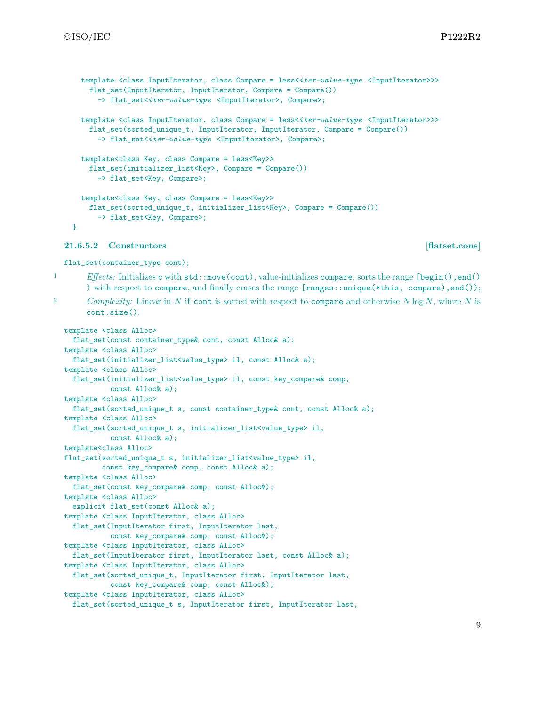```
template <class InputIterator, class Compare = less<iter-value-type <InputIterator>>>
 flat_set(InputIterator, InputIterator, Compare = Compare())
    -> flat_set<iter-value-type <InputIterator>, Compare>;
template <class InputIterator, class Compare = less<iter-value-type <InputIterator>>>
 flat set(sorted_unique_t, InputIterator, InputIterator, Compare = Compare())
    -> flat_set<iter-value-type <InputIterator>, Compare>;
template<class Key, class Compare = less<Key>>
 flat_set(initializer_list<Key>, Compare = Compare())
    -> flat_set<Key, Compare>;
template<class Key, class Compare = less<Key>>
 flat_set(sorted_unique_t,_initializer_list<Key>, Compare = Compare())
    -> flat_set<Key, Compare>;
```
### <span id="page-9-0"></span>**21.6.5.2 Constructors [flatset.cons]**

cont.size().

flat\_set(container\_type cont);

1 *Effects:* Initializes c with std::move(cont), value-initializes compare, sorts the range [begin(), end() ) with respect to compare, and finally erases the range [ranges::unique(\*this, compare),end());

<sup>2</sup> *Complexity:* Linear in *N* if cont is sorted with respect to compare and otherwise *N* log *N*, where *N* is

}

```
template <class Alloc>
 flat_set(const container_type& cont, const Alloc& a);
template <class Alloc>
 flat_set(initializer_list<value_type> il, const Alloc& a);
template <class Alloc>
 flat_set(initializer_list<value_type> il, const key_compare& comp,
          const Alloc& a);
template <class Alloc>
 flat_set(sorted_unique_t s, const container_type& cont, const Alloc& a);
template <class Alloc>
 flat_set(sorted_unique_t s, initializer_list<value_type> il,
          const Alloc& a);
template<class Alloc>
flat_set(sorted_unique_t s, initializer_list<value_type> il,
         const key_compare& comp, const Alloc& a);
template <class Alloc>
 flat_set(const key_compare& comp, const Alloc&);
template <class Alloc>
 explicit flat_set(const Alloc& a);
template <class InputIterator, class Alloc>
 flat_set(InputIterator first, InputIterator last,
           const key_compare& comp, const Alloc&);
template <class InputIterator, class Alloc>
 flat_set(InputIterator first, InputIterator last, const Alloc& a);
template <class InputIterator, class Alloc>
 flat_set(sorted_unique_t, InputIterator first, InputIterator last,
          const key_compare& comp, const Alloc&);
template <class InputIterator, class Alloc>
 flat_set(sorted_unique_t s, InputIterator first, InputIterator last,
```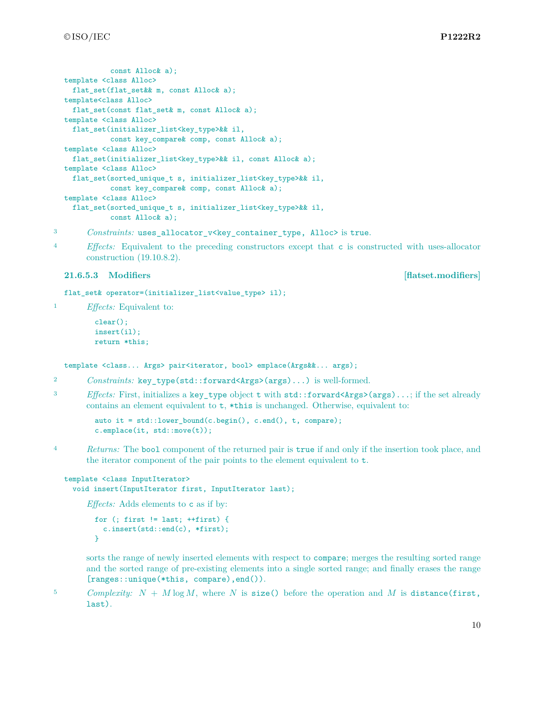```
const Alloc& a);
template <class Alloc>
 flat_set(flat_set&& m, const Alloc& a);
template<class Alloc>
 flat_set(const flat_set& m, const Alloc& a);
template <class Alloc>
 flat_set(initializer_list<key_type>&& il,
           const key_compare& comp, const Alloc& a);
template <class Alloc>
 flat_set(initializer_list<key_type>&& il, const Alloc& a);
template <class Alloc>
 flat_set(sorted_unique_t s, initializer_list<key_type>&& il,
           const key_compare& comp, const Alloc& a);
template <class Alloc>
 flat_set(sorted_unique_t s, initializer_list<key_type>&& il,
           const Alloc& a);
```
<sup>3</sup> *Constraints:* uses\_allocator\_v<key\_container\_type, Alloc> is true.

<sup>4</sup> *Effects:* Equivalent to the preceding constructors except that c is constructed with uses-allocator construction (19.10.8.2).

### <span id="page-10-0"></span>**21.6.5.3 Modifiers [flatset.modifiers]**

flat\_set& operator=(initializer\_list<value\_type> il);

<sup>1</sup> *Effects:* Equivalent to:

```
clear();
insert(il);
return *this;
```
template <class... Args> pair<iterator, bool> emplace(Args&&... args);

```
2 Constraints: key_type(std::forward<Args>(args)...) is well-formed.
```
<sup>3</sup> *Effects:* First, initializes a key\_type object t with std::forward<Args>(args)...; if the set already contains an element equivalent to t, \*this is unchanged. Otherwise, equivalent to:

auto it = std::lower\_bound(c.begin(), c.end(), t, compare); c.emplace(it, std::move(t));

<sup>4</sup> *Returns:* The bool component of the returned pair is true if and only if the insertion took place, and the iterator component of the pair points to the element equivalent to t.

```
template <class InputIterator>
  void insert(InputIterator first, InputIterator last);
```
*Effects:* Adds elements to c as if by:

```
for (; first != last; ++first) {
 c.insert(std::end(c), *first);
}
```
sorts the range of newly inserted elements with respect to compare; merges the resulting sorted range and the sorted range of pre-existing elements into a single sorted range; and finally erases the range [ranges::unique(\*this, compare),end()).

<sup>5</sup> *Complexity:*  $N + M \log M$ , where  $N$  is size() before the operation and  $M$  is distance (first, last).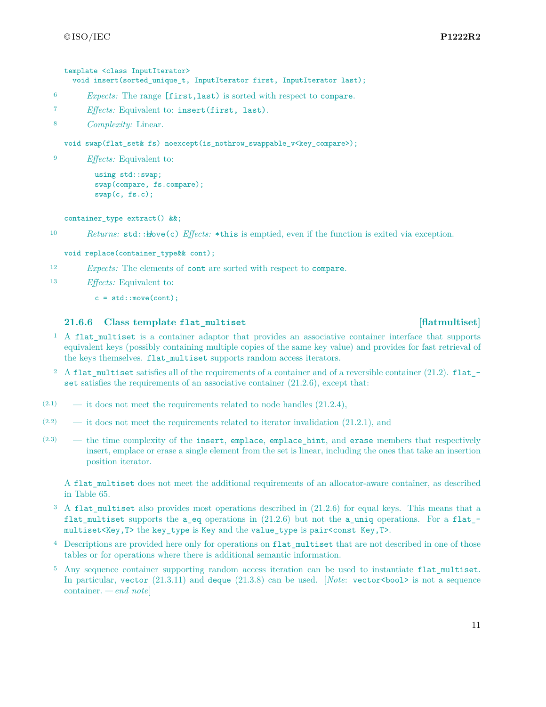### template <class InputIterator>

void insert(sorted\_unique\_t, InputIterator first, InputIterator last);

- <sup>6</sup> *Expects:* The range [first,last) is sorted with respect to compare.
- <sup>7</sup> *Effects:* Equivalent to: insert(first, last).
- <sup>8</sup> *Complexity:* Linear.

void swap(flat\_set& fs) noexcept(is\_nothrow\_swappable\_v<key\_compare>);

<sup>9</sup> *Effects:* Equivalent to:

```
using std::swap;
swap(compare, fs.compare);
swap(c, fs.c);
```
container\_type extract() &&;

10 *Returns:* std:: $\frac{1}{2}$  *Effects:* \*this is emptied, even if the function is exited via exception.

void replace(container\_type&& cont);

- <sup>12</sup> *Expects:* The elements of cont are sorted with respect to compare.
- <sup>13</sup> *Effects:* Equivalent to:
	- $c = std::move(cont);$

### <span id="page-11-0"></span>**21.6.6 Class template flat\_multiset [flatmultiset]**

### <sup>1</sup> A flat multiset is a container adaptor that provides an associative container interface that supports equivalent keys (possibly containing multiple copies of the same key value) and provides for fast retrieval of the keys themselves. flat\_multiset supports random access iterators.

- <sup>2</sup> A flat\_multiset satisfies all of the requirements of a container and of a reversible container (21.2). flat\_ set satisfies the requirements of an associative container  $(21.2.6)$ , except that:
- $(2.1)$  it does not meet the requirements related to node handles  $(21.2.4)$ ,
- $(2.2)$  it does not meet the requirements related to iterator invalidation  $(21.2.1)$ , and
- $(2.3)$  the time complexity of the insert, emplace, emplace hint, and erase members that respectively insert, emplace or erase a single element from the set is linear, including the ones that take an insertion position iterator.

A flat multiset does not meet the additional requirements of an allocator-aware container, as described in Table 65.

- <sup>3</sup> A flat multiset also provides most operations described in (21.2.6) for equal keys. This means that a flat\_multiset supports the a\_eq operations in (21.2.6) but not the a\_uniq operations. For a flat\_ multiset<Key,T> the key\_type is Key and the value\_type is pair<const Key,T>.
- <sup>4</sup> Descriptions are provided here only for operations on flat\_multiset that are not described in one of those tables or for operations where there is additional semantic information.
- <sup>5</sup> Any sequence container supporting random access iteration can be used to instantiate flat\_multiset. In particular, vector  $(21.3.11)$  and deque  $(21.3.8)$  can be used. *[Note: vector <br/>bool*> is not a sequence container. *— end note*]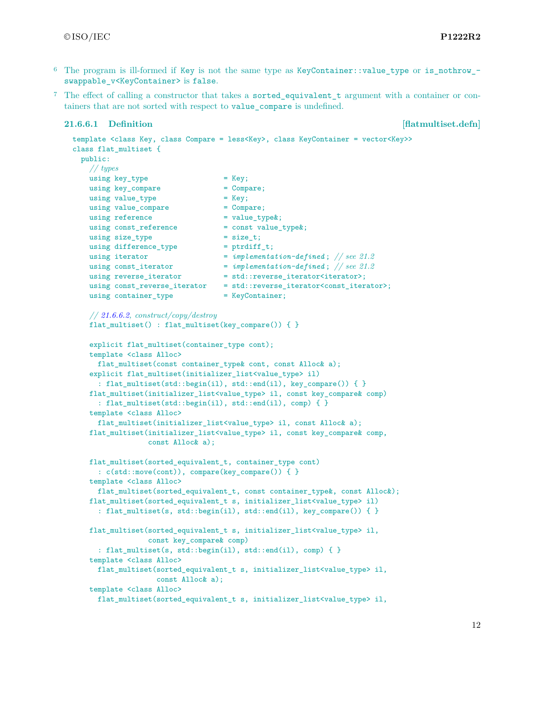- 6 The program is ill-formed if Key is not the same type as KeyContainer::value type or is nothrow swappable v<KeyContainer> is false.
- <sup>7</sup> The effect of calling a constructor that takes a sorted\_equivalent\_t argument with a container or containers that are not sorted with respect to value\_compare is undefined.

### **21.6.6.1** Definition **[flatmultiset.defn]**

```
template <class Key, class Compare = less<Key>, class KeyContainer = vector<Key>>
class flat_multiset {
 public:
   // types
   using key\_type = Key;
   using key_compare = Compare;
   using value_type = Key;
   using value_compare = Compare;
   using reference = value_type\&;using const_reference = const value_type&;
   using size_type = size_t;using difference_type = ptrdiff_t;
   using iterator = implementation-defined ; // see 21.2
    using const_iterator = implementation-defined ; // see 21.2
    using reverse_iterator = std::reverse\_iterator\times;using const_reverse_iterator = std::reverse_iterator<const_iterator>;
   using container_type = KeyContainer;
   // 21.6.6.2, construct/copy/destroy
   flat_multiset() : flat_multiset(key_compare()) { }
   explicit flat_multiset(container_type cont);
   template <class Alloc>
     flat_multiset(const container_type& cont, const Alloc& a);
   explicit flat_multiset(initializer_list<value_type> il)
     : flat_multiset(std::begin(il), std::end(il), key_compare()) { }
   flat_multiset(initializer_list<value_type> il, const key_compare& comp)
     : flat_multiset(std::begin(il), std::end(il), comp) { }
   template <class Alloc>
     flat_multiset(initializer_list<value_type> il, const Alloc& a);
   flat_multiset(initializer_list<value_type> il, const key_compare& comp,
                const Alloc& a);
   flat_multiset(sorted_equivalent_t, container_type cont)
     : c(std::move(cont)), compare(key_compare()) { }
   template <class Alloc>
     flat_multiset(sorted_equivalent_t, const container_type&, const Alloc&);
   flat_multiset(sorted_equivalent_t s, initializer_list<value_type> il)
     : flat_multiset(s, std::begin(il), std::end(il), key_compare()) { }
   flat_multiset(sorted_equivalent_t s, initializer_list<value_type> il,
                const key_compare& comp)
     : flat_multiset(s, std::begin(il), std::end(il), comp) { }
   template <class Alloc>
     flat_multiset(sorted_equivalent_t s, initializer_list<value_type> il,
                  const Alloc& a);
   template <class Alloc>
     flat multiset(sorted equivalent t s, initializer list<value type> il,
```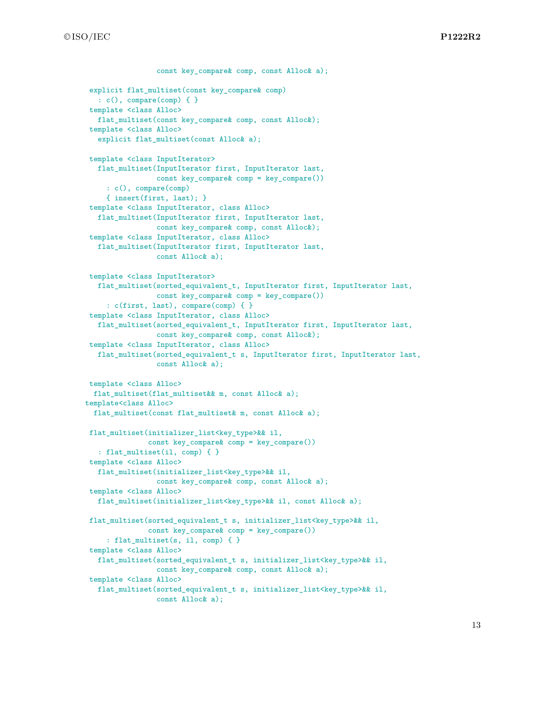```
const key compare& comp, const Alloc& a);
explicit flat_multiset(const key_compare& comp)
  : c(), compare(comp) { }
template <class Alloc>
  flat_multiset(const key_compare& comp, const Alloc&);
template <class Alloc>
  explicit flat_multiset(const Alloc& a);
template <class InputIterator>
  flat_multiset(InputIterator first, InputIterator last,
                const key_compare& comp = key_compare())
     : c(), compare(comp)
     { insert(first, last); }
template <class InputIterator, class Alloc>
  flat_multiset(InputIterator first, InputIterator last,
                const key_compare& comp, const Alloc&);
template <class InputIterator, class Alloc>
  flat_multiset(InputIterator first, InputIterator last,
                const Alloc& a);
template <class InputIterator>
  flat_multiset(sorted_equivalent_t, InputIterator first, InputIterator last,
                 const key_compare& comp = key_compare())
     : c(first, last), compare(comp) { }
template <class InputIterator, class Alloc>
  flat_multiset(sorted_equivalent_t, InputIterator first, InputIterator last,
                 const key_compare& comp, const Alloc&);
template <class InputIterator, class Alloc>
  flat_multiset(sorted_equivalent_t s, InputIterator first, InputIterator last,
                const Alloc& a);
template <class Alloc>
 flat_multiset(flat_multiset&& m, const Alloc& a);
template<class Alloc>
 flat_multiset(const flat_multiset& m, const Alloc& a);
flat_multiset(initializer_list<key_type>&& il,
              const key_compare& comp = key_compare())
  : flat_multiset(il, comp) { }
template <class Alloc>
  flat_multiset(initializer_list<key_type>&& il,
                const key_compare& comp, const Alloc& a);
template <class Alloc>
  flat_multiset(initializer_list<key_type>&& il, const Alloc& a);
flat_multiset(sorted_equivalent_t s, initializer_list<key_type>&& il,
              const key_compare& comp = key_compare())
     : flat_multiset(s, il, comp) { }
template <class Alloc>
  flat_multiset(sorted_equivalent_t s, initializer_list<key_type>&& il,
                 const key_compare& comp, const Alloc& a);
template <class Alloc>
  flat_multiset(sorted_equivalent_t s, initializer_list<key_type>&& il,
                 const Alloc& a);
```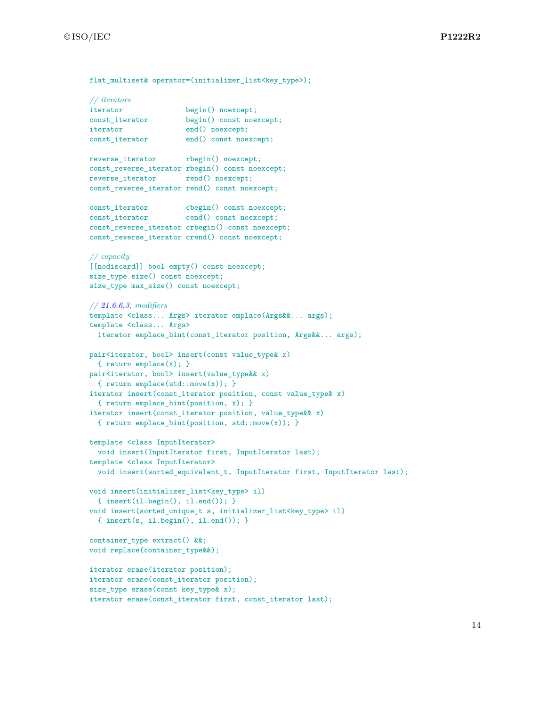©ISO/IEC **P1222R2**

flat\_multiset& operator=(initializer\_list<key\_type>);

```
// iterators
iterator begin() noexcept;
const iterator begin() const noexcept;
iterator end() noexcept;
const_iterator end() const noexcept;
reverse_iterator rbegin() noexcept;
const_reverse_iterator rbegin() const noexcept;
reverse_iterator rend() noexcept;
const_reverse_iterator rend() const noexcept;
const_iterator cbegin() const noexcept;
const_iterator cend() const noexcept;
const_reverse_iterator crbegin() const noexcept;
const_reverse_iterator crend() const noexcept;
// capacity
[[nodiscard]] bool empty() const noexcept;
size_type size() const noexcept;
size_type max_size() const noexcept;
// 21.6.6.3, modifiers
template <class... Args> iterator emplace(Args&&... args);
template <class... Args>
  iterator emplace_hint(const_iterator position, Args&&... args);
pair<iterator, bool> insert(const value_type& x)
  { return emplace(x); }
pair<iterator, bool> insert(value_type&& x)
  { return emplace(std::move(x)); }
iterator insert(const_iterator position, const value_type& x)
  { return emplace_hint(position, x); }
iterator insert(const_iterator position, value_type&& x)
  { return emplace_hint(position, std::move(x)); }
template <class InputIterator>
  void insert(InputIterator first, InputIterator last);
template <class InputIterator>
  void insert(sorted_equivalent_t, InputIterator first, InputIterator last);
void insert(initializer_list<key_type> il)
  { insert(il.begin(), il.end()); }
void insert(sorted_unique_t s, initializer_list<key_type> il)
  { insert(s, il.begin(), il.end()); }
container_type extract() &&;
void replace(container_type&&);
iterator erase(iterator position);
iterator erase(const_iterator position);
size_type erase(const key_type& x);
iterator erase(const_iterator first, const_iterator last);
```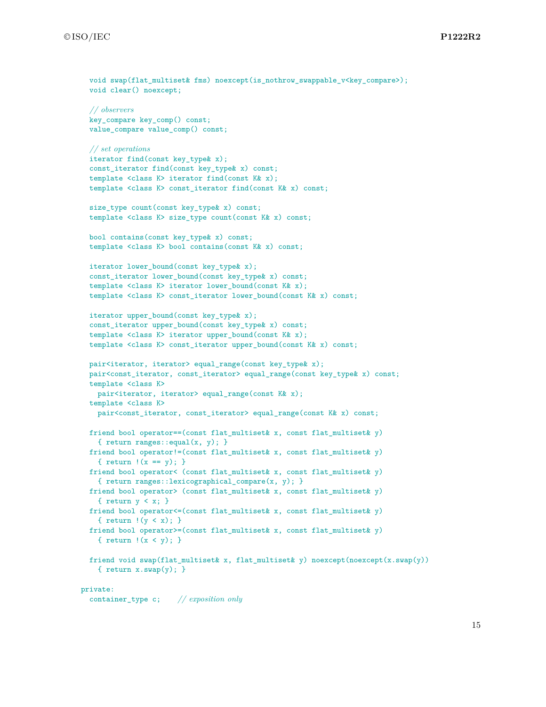```
void swap(flat_multiset& fms) noexcept(is_nothrow_swappable_v<key_compare>);
 void clear() noexcept;
  // observers
 key_compare key_comp() const;
 value_compare value_comp() const;
 // set operations
 iterator find(const key_type& x);
 const_iterator find(const key_type& x) const;
  template <class K> iterator find(const K& x);
  template <class K> const_iterator find(const K& x) const;
 size_type count(const key_type& x) const;
 template <class K> size type count(const K& x) const;
 bool contains(const key_type& x) const;
 template <class K> bool contains(const K& x) const;
 iterator lower_bound(const key_type& x);
 const_iterator lower_bound(const key_type& x) const;
 template <class K> iterator lower_bound(const K& x);
 template <class K> const_iterator lower_bound(const K& x) const;
 iterator upper_bound(const key_type& x);
 const_iterator upper_bound(const key_type& x) const;
  template <class K> iterator upper_bound(const K& x);
 template <class K> const_iterator upper_bound(const K& x) const;
 pair<iterator, iterator> equal_range(const key_type& x);
 pair<const_iterator, const_iterator> equal_range(const key_type& x) const;
 template <class K>
   pair<iterator, iterator> equal_range(const K& x);
 template <class K>
   pair<const_iterator, const_iterator> equal_range(const K& x) const;
 friend bool operator==(const flat_multiset& x, const flat_multiset& y)
    { return ranges::equal(x, y); }
 friend bool operator!=(const flat_multiset& x, const flat_multiset& y)
    { return !(x == y); }
 friend bool operator< (const flat_multiset& x, const flat_multiset& y)
    { return ranges::lexicographical_compare(x, y); }
 friend bool operator> (const flat_multiset& x, const flat_multiset& y)
   { return y < x; }
 friend bool operator<=(const flat_multiset& x, const flat_multiset& y)
    { return !(y < x); }
 friend bool operator>=(const flat_multiset& x, const flat_multiset& y)
    { return !(x < y); }
 friend void swap(flat_multiset& x, flat_multiset& y) noexcept(noexcept(x.swap(y))
    { return x.sum(y); }
private:
```

```
container_type c; // exposition only
```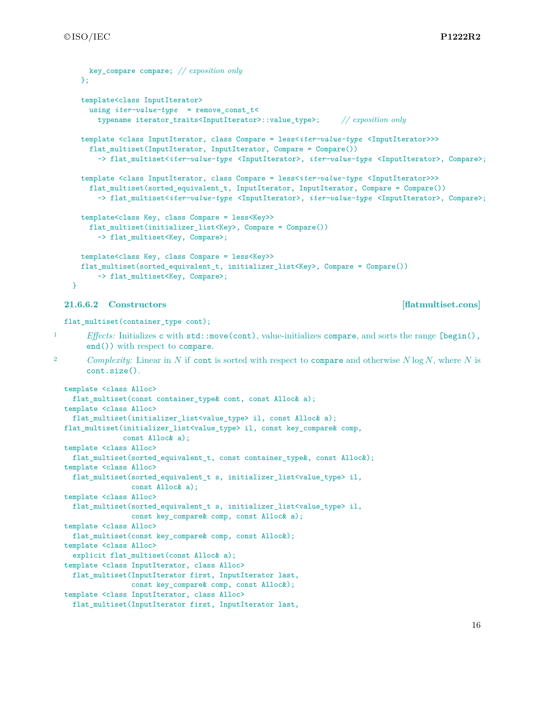```
key_compare compare; // exposition only
  \}:
  template<class InputIterator>
    using iter-value-type = remove_const_t<
      typename iterator_traits<InputIterator>::value_type>; // exposition only
  template <class InputIterator, class Compare = less<iter-value-type <InputIterator>>>
    flat_multiset(InputIterator, InputIterator, Compare = Compare())
      -> flat_multiset<iter-value-type <InputIterator>, iter-value-type <InputIterator>, Compare>;
  template <class InputIterator, class Compare = less<iter-value-type <InputIterator>>>
    flat_multiset(sorted_equivalent_t, InputIterator, InputIterator, Compare = Compare())
      -> flat_multiset<iter-value-type <InputIterator>, iter-value-type <InputIterator>, Compare>;
  template<class Key, class Compare = less<Key>>
    flat_multiset(initializer_list<Key>, Compare = Compare())
      -> flat_multiset<Key, Compare>;
 template<class Key, class Compare = less<Key>>
  flat_multiset(sorted_equivalent_t, initializer_list<Key>, Compare = Compare())
      -> flat_multiset<Key, Compare>;
}
```
### <span id="page-16-0"></span>**21.6.6.2 Constructors [flatmultiset.cons]**

flat\_multiset(container\_type cont);

- 1 *Effects:* Initializes c with std::move(cont), value-initializes compare, and sorts the range [begin(), end()) with respect to compare.
- <sup>2</sup> *Complexity:* Linear in *N* if cont is sorted with respect to compare and otherwise *N* log *N*, where *N* is cont.size().

```
template <class Alloc>
 flat_multiset(const container_type& cont, const Alloc& a);
template <class Alloc>
 flat_multiset(initializer_list<value_type> il, const Alloc& a);
flat_multiset(initializer_list<value_type> il, const key_compare& comp,
             const Alloc& a);
template <class Alloc>
 flat_multiset(sorted_equivalent_t, const container_type&, const Alloc&);
template <class Alloc>
 flat_multiset(sorted_equivalent_t s, initializer_list<value_type> il,
               const Alloc& a);
template <class Alloc>
 flat_multiset(sorted_equivalent_t s, initializer_list<value_type> il,
               const key_compare& comp, const Alloc& a);
template <class Alloc>
 flat_multiset(const key_compare& comp, const Alloc&);
template <class Alloc>
 explicit flat_multiset(const Alloc& a);
template <class InputIterator, class Alloc>
 flat_multiset(InputIterator first, InputIterator last,
               const key_compare& comp, const Alloc&);
template <class InputIterator, class Alloc>
 flat_multiset(InputIterator first, InputIterator last,
```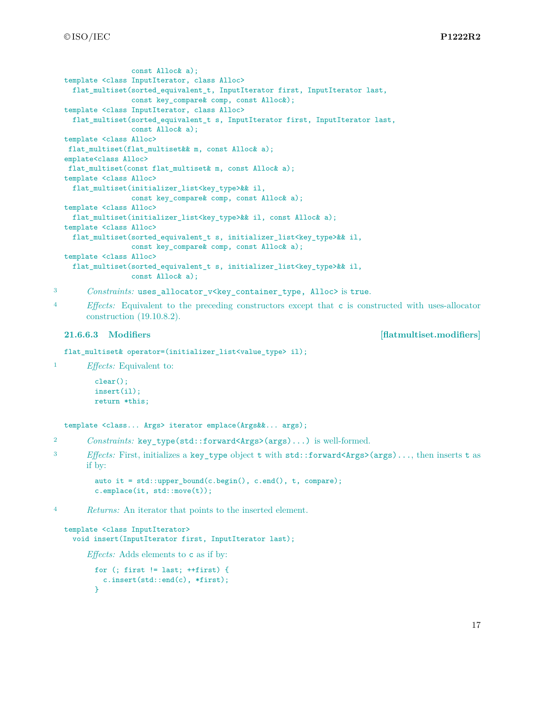```
const Alloc& a);
template <class InputIterator, class Alloc>
 flat_multiset(sorted_equivalent_t, InputIterator first, InputIterator last,
                const key_compare& comp, const Alloc&);
template <class InputIterator, class Alloc>
 flat_multiset(sorted_equivalent_t s, InputIterator first, InputIterator last,
               const Alloc& a);
template <class Alloc>
flat_multiset(flat_multiset&& m, const Alloc& a);
emplate<class Alloc>
flat_multiset(const flat_multiset& m, const Alloc& a);
template <class Alloc>
 flat_multiset(initializer_list<key_type>&& il,
               const key_compare& comp, const Alloc& a);
template <class Alloc>
 flat_multiset(initializer_list<key_type>&& il, const Alloc& a);
template <class Alloc>
 flat_multiset(sorted_equivalent_t s, initializer_list<key_type>&& il,
               const key_compare& comp, const Alloc& a);
template <class Alloc>
 flat_multiset(sorted_equivalent_t s, initializer_list<key_type>&& il,
                const Alloc& a);
```
3 *Constraints:* uses\_allocator\_v<key\_container\_type, Alloc> is true.

<sup>4</sup> *Effects:* Equivalent to the preceding constructors except that c is constructed with uses-allocator construction (19.10.8.2).

### <span id="page-17-0"></span>**21.6.6.3 Modifiers [flatmultiset.modifiers]**

flat\_multiset& operator=(initializer\_list<value\_type> il);

<sup>1</sup> *Effects:* Equivalent to:

```
clear();
insert(il);
return *this;
```
template <class... Args> iterator emplace(Args&&... args);

- <sup>2</sup> *Constraints:* key\_type(std::forward<Args>(args)...) is well-formed.
- <sup>3</sup> *Effects:* First, initializes a key\_type object t with std::forward<Args>(args)..., then inserts t as if by:

```
auto it = std::upper_bound(c.begin(), c.end(), t, compare);
c.emplace(it, std::move(t));
```
<sup>4</sup> *Returns:* An iterator that points to the inserted element.

```
template <class InputIterator>
 void insert(InputIterator first, InputIterator last);
```
*Effects:* Adds elements to c as if by:

```
for (; first != last; ++first) {
  c.insert(std::end(c), *first);
\mathbf{I}
```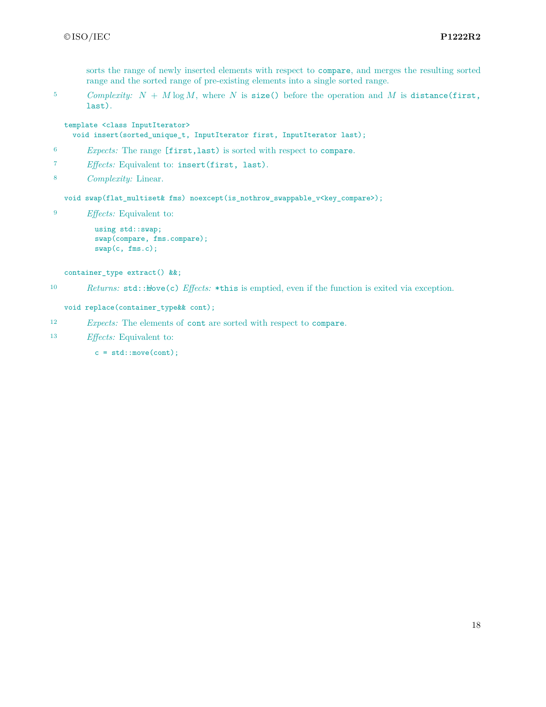sorts the range of newly inserted elements with respect to compare, and merges the resulting sorted range and the sorted range of pre-existing elements into a single sorted range.

 $5$  *Complexity:*  $N + M \log M$ , where  $N$  is size() before the operation and  $M$  is distance(first, last).

template <class InputIterator> void insert(sorted\_unique\_t, InputIterator first, InputIterator last);

- <sup>6</sup> *Expects:* The range [first,last) is sorted with respect to compare.
- <sup>7</sup> *Effects:* Equivalent to: insert(first, last).
- <sup>8</sup> *Complexity:* Linear.

void swap(flat\_multiset& fms) noexcept(is\_nothrow\_swappable\_v<key\_compare>);

<sup>9</sup> *Effects:* Equivalent to:

using std::swap; swap(compare, fms.compare); swap(c, fms.c);

container\_type extract() &&;

10 *Returns:* std:: $\text{the}(c)$  *Effects:* \*this is emptied, even if the function is exited via exception.

void replace(container\_type&& cont);

- <sup>12</sup> *Expects:* The elements of cont are sorted with respect to compare.
- <sup>13</sup> *Effects:* Equivalent to:
	- $c = std::move (cont);$